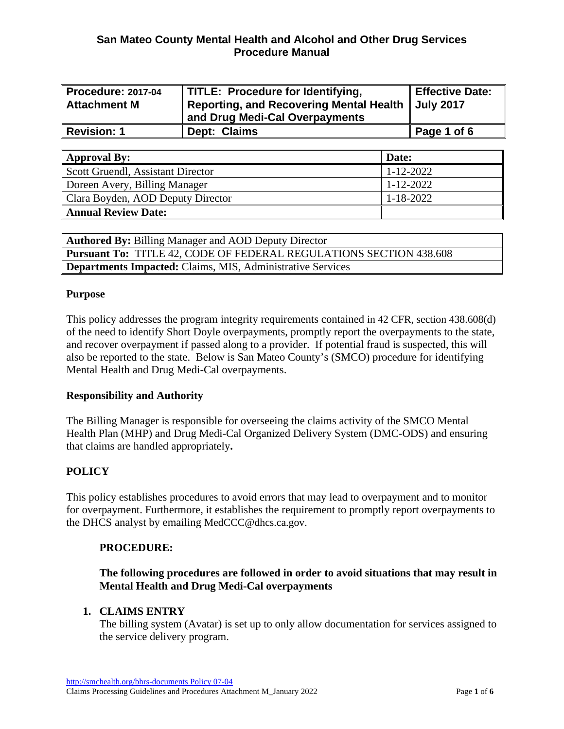# **San Mateo County Mental Health and Alcohol and Other Drug Services Procedure Manual**

| <b>Procedure: 2017-04</b><br><b>Attachment M</b> | TITLE: Procedure for Identifying,<br><b>Reporting, and Recovering Mental Health</b><br>and Drug Medi-Cal Overpayments | <b>Effective Date:</b><br><b>July 2017</b> |
|--------------------------------------------------|-----------------------------------------------------------------------------------------------------------------------|--------------------------------------------|
| <b>Revision: 1</b>                               | Dept: Claims                                                                                                          | Page 1 of 6                                |

| <b>Approval By:</b>               | Date:           |
|-----------------------------------|-----------------|
| Scott Gruendl, Assistant Director | $1 - 12 - 2022$ |
| Doreen Avery, Billing Manager     | $1 - 12 - 2022$ |
| Clara Boyden, AOD Deputy Director | $1 - 18 - 2022$ |
| <b>Annual Review Date:</b>        |                 |

**Authored By:** Billing Manager and AOD Deputy Director **Pursuant To:** TITLE 42, CODE OF FEDERAL REGULATIONS SECTION 438.608 **Departments Impacted:** Claims, MIS, Administrative Services

#### **Purpose**

This policy addresses the program integrity requirements contained in 42 CFR, section 438.608(d) of the need to identify Short Doyle overpayments, promptly report the overpayments to the state, and recover overpayment if passed along to a provider. If potential fraud is suspected, this will also be reported to the state. Below is San Mateo County's (SMCO) procedure for identifying Mental Health and Drug Medi-Cal overpayments.

### **Responsibility and Authority**

The Billing Manager is responsible for overseeing the claims activity of the SMCO Mental Health Plan (MHP) and Drug Medi-Cal Organized Delivery System (DMC-ODS) and ensuring that claims are handled appropriately**.** 

### **POLICY**

This policy establishes procedures to avoid errors that may lead to overpayment and to monitor for overpayment. Furthermore, it establishes the requirement to promptly report overpayments to the DHCS analyst by emailing MedCCC@dhcs.ca.gov.

#### **PROCEDURE:**

## **The following procedures are followed in order to avoid situations that may result in Mental Health and Drug Medi-Cal overpayments**

### **1. CLAIMS ENTRY**

The billing system (Avatar) is set up to only allow documentation for services assigned to the service delivery program.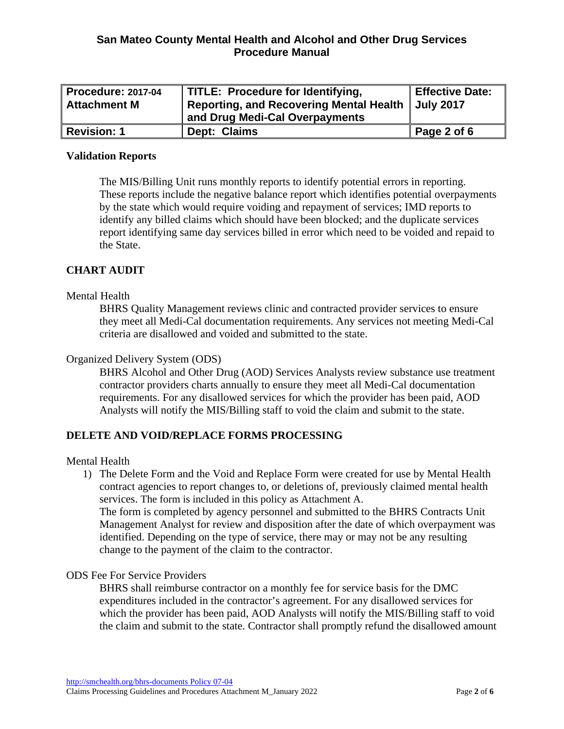| Procedure: 2017-04 | TITLE: Procedure for Identifying,                   | <b>Effective Date:</b> |
|--------------------|-----------------------------------------------------|------------------------|
| ∥ Attachment M     | Reporting, and Recovering Mental Health   July 2017 |                        |
|                    | and Drug Medi-Cal Overpayments                      |                        |
| Revision: 1        | Dept: Claims                                        | Page 2 of 6            |

#### **Validation Reports**

The MIS/Billing Unit runs monthly reports to identify potential errors in reporting. These reports include the negative balance report which identifies potential overpayments by the state which would require voiding and repayment of services; IMD reports to identify any billed claims which should have been blocked; and the duplicate services report identifying same day services billed in error which need to be voided and repaid to the State.

## **CHART AUDIT**

### Mental Health

BHRS Quality Management reviews clinic and contracted provider services to ensure they meet all Medi-Cal documentation requirements. Any services not meeting Medi-Cal criteria are disallowed and voided and submitted to the state.

#### Organized Delivery System (ODS)

BHRS Alcohol and Other Drug (AOD) Services Analysts review substance use treatment contractor providers charts annually to ensure they meet all Medi-Cal documentation requirements. For any disallowed services for which the provider has been paid, AOD Analysts will notify the MIS/Billing staff to void the claim and submit to the state.

### **DELETE AND VOID/REPLACE FORMS PROCESSING**

#### Mental Health

1) The Delete Form and the Void and Replace Form were created for use by Mental Health contract agencies to report changes to, or deletions of, previously claimed mental health services. The form is included in this policy as Attachment A.

The form is completed by agency personnel and submitted to the BHRS Contracts Unit Management Analyst for review and disposition after the date of which overpayment was identified. Depending on the type of service, there may or may not be any resulting change to the payment of the claim to the contractor.

#### ODS Fee For Service Providers

BHRS shall reimburse contractor on a monthly fee for service basis for the DMC expenditures included in the contractor's agreement. For any disallowed services for which the provider has been paid, AOD Analysts will notify the MIS/Billing staff to void the claim and submit to the state. Contractor shall promptly refund the disallowed amount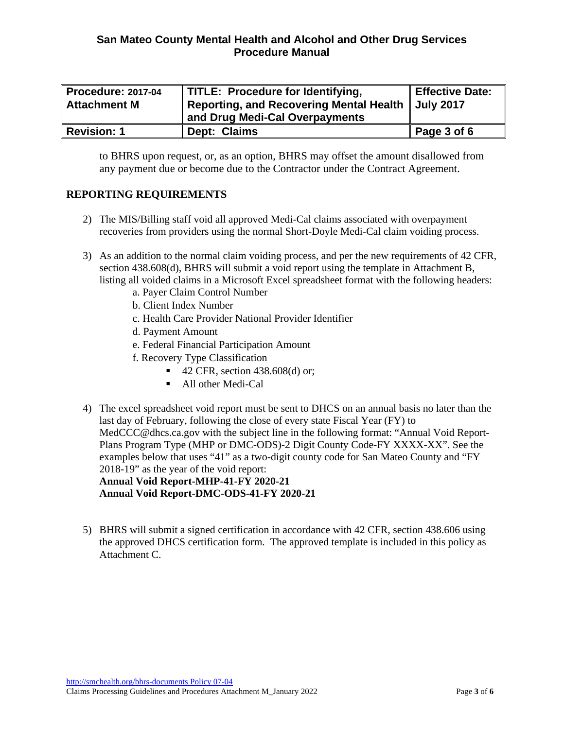| <b>Procedure: 2017-04</b> | TITLE: Procedure for Identifying,                   | <b>Effective Date:</b> |
|---------------------------|-----------------------------------------------------|------------------------|
| <b>Attachment M</b>       | Reporting, and Recovering Mental Health   July 2017 |                        |
|                           | and Drug Medi-Cal Overpayments                      |                        |
| <b>Revision: 1</b>        | Dept: Claims                                        | Page 3 of 6            |

to BHRS upon request, or, as an option, BHRS may offset the amount disallowed from any payment due or become due to the Contractor under the Contract Agreement.

## **REPORTING REQUIREMENTS**

- 2) The MIS/Billing staff void all approved Medi-Cal claims associated with overpayment recoveries from providers using the normal Short-Doyle Medi-Cal claim voiding process.
- 3) As an addition to the normal claim voiding process, and per the new requirements of 42 CFR, section 438.608(d), BHRS will submit a void report using the template in Attachment B, listing all voided claims in a Microsoft Excel spreadsheet format with the following headers:
	- a. Payer Claim Control Number
	- b. Client Index Number
	- c. Health Care Provider National Provider Identifier
	- d. Payment Amount
	- e. Federal Financial Participation Amount
	- f. Recovery Type Classification
		- 42 CFR, section 438.608(d) or;
		- All other Medi-Cal
- 4) The excel spreadsheet void report must be sent to DHCS on an annual basis no later than the last day of February, following the close of every state Fiscal Year (FY) to MedCCC@dhcs.ca.gov with the subject line in the following format: "Annual Void Report-Plans Program Type (MHP or DMC-ODS)-2 Digit County Code-FY XXXX-XX". See the examples below that uses "41" as a two-digit county code for San Mateo County and "FY 2018-19" as the year of the void report:

**Annual Void Report-MHP-41-FY 2020-21 Annual Void Report-DMC-ODS-41-FY 2020-21**

5) BHRS will submit a signed certification in accordance with 42 CFR, section 438.606 using the approved DHCS certification form. The approved template is included in this policy as Attachment C.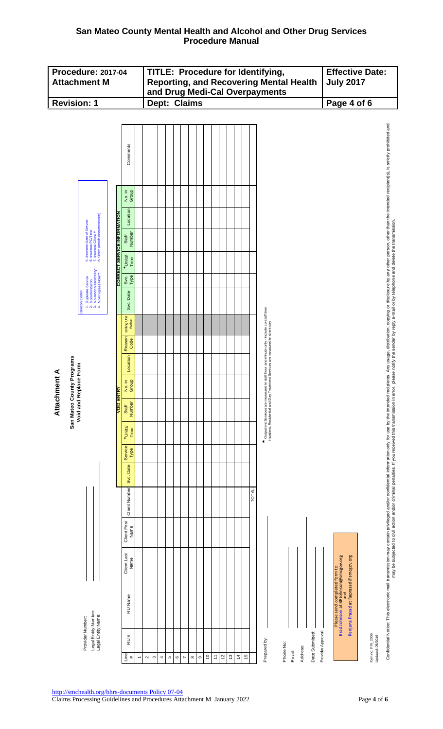# **San Mateo County Mental Health and Alcohol and Other Drug Services Procedure Manual**

|                           | <b>Procedure: 2017-04</b><br><b>Attachment M</b>                                                                                                            |                                    |                                                | TITLE: Procedure for Identifying,<br><b>Reporting, and Recovering Mental Health</b><br>and Drug Medi-Cal Overpayments |               |   |                  |                |          | <b>July 2017</b> | <b>Effective Date:</b> |                   |             |                                   |    |              |                                                                                                                                                                            |                                                                                                                                                                                                                                |
|---------------------------|-------------------------------------------------------------------------------------------------------------------------------------------------------------|------------------------------------|------------------------------------------------|-----------------------------------------------------------------------------------------------------------------------|---------------|---|------------------|----------------|----------|------------------|------------------------|-------------------|-------------|-----------------------------------|----|--------------|----------------------------------------------------------------------------------------------------------------------------------------------------------------------------|--------------------------------------------------------------------------------------------------------------------------------------------------------------------------------------------------------------------------------|
| <b>Revision: 1</b>        |                                                                                                                                                             |                                    |                                                |                                                                                                                       | Dept: Claims  |   |                  |                |          |                  |                        |                   |             |                                   |    |              | Page 4 of 6                                                                                                                                                                |                                                                                                                                                                                                                                |
|                           |                                                                                                                                                             |                                    | Comments                                       |                                                                                                                       |               |   |                  |                |          |                  |                        |                   |             |                                   |    |              |                                                                                                                                                                            | Confidential Notice: This electronic mall transmission may contain privileged and/or confidential mormation only for use by the intended recipients. Any usage, distribution, copying or disclosure by any other person, other |
|                           |                                                                                                                                                             |                                    | No. in<br>Group                                |                                                                                                                       |               |   |                  |                |          |                  |                        |                   |             |                                   |    |              |                                                                                                                                                                            |                                                                                                                                                                                                                                |
|                           |                                                                                                                                                             |                                    | Location                                       |                                                                                                                       |               |   |                  |                |          |                  |                        |                   |             |                                   |    |              |                                                                                                                                                                            |                                                                                                                                                                                                                                |
|                           | 5. Incorrect Date of Service<br>5. Incorrect PC/Time<br>7. Incorrect Client #<br>3. Other (attach documentation)                                            |                                    | Number<br>Staff                                |                                                                                                                       |               |   |                  |                |          |                  |                        |                   |             |                                   |    |              |                                                                                                                                                                            |                                                                                                                                                                                                                                |
|                           | $\phi$ $\phi \sim \phi$                                                                                                                                     | <b>CORRECT SERVICE INFORMATION</b> | *Units/<br>Time<br>Svc.<br>Type                |                                                                                                                       |               |   |                  |                |          |                  |                        |                   |             |                                   |    |              |                                                                                                                                                                            |                                                                                                                                                                                                                                |
|                           | . Duplicate Service<br>· Documentation<br>· No Medical Necessity*<br>· No Progress Note**<br><b>Reason Codes</b><br>$\neq$ of $\vec{\sigma}$ $\vec{\sigma}$ |                                    | Date<br>Svc.                                   |                                                                                                                       |               |   |                  |                |          |                  |                        |                   |             |                                   |    |              |                                                                                                                                                                            |                                                                                                                                                                                                                                |
|                           |                                                                                                                                                             |                                    | <b>Billing Unit</b><br>Action                  |                                                                                                                       |               |   |                  |                |          |                  |                        |                   |             |                                   |    |              | *   Outpatient Services are measured in staff hour and minute only - include co-staff time<br>Inpatient, Residential and Day Treatment Services are measured in client day |                                                                                                                                                                                                                                |
|                           |                                                                                                                                                             |                                    | Reason<br>Code                                 |                                                                                                                       |               |   |                  |                |          |                  |                        |                   |             |                                   |    |              |                                                                                                                                                                            |                                                                                                                                                                                                                                |
|                           |                                                                                                                                                             |                                    | Location                                       |                                                                                                                       |               |   |                  |                |          |                  |                        |                   |             |                                   |    |              |                                                                                                                                                                            |                                                                                                                                                                                                                                |
| Attachment A              |                                                                                                                                                             |                                    | Ξ.<br>$\frac{9}{2}$<br>$rac{1}{2}$ $rac{1}{9}$ |                                                                                                                       |               |   |                  |                |          |                  |                        |                   |             |                                   |    |              |                                                                                                                                                                            |                                                                                                                                                                                                                                |
| San Mateo County Programs | Void and Replace Form                                                                                                                                       | <b>VOID ENTRY</b>                  | Number<br>Staff                                |                                                                                                                       |               |   |                  |                |          |                  |                        |                   |             |                                   |    |              |                                                                                                                                                                            |                                                                                                                                                                                                                                |
|                           |                                                                                                                                                             |                                    | *Units/<br>Time                                |                                                                                                                       |               |   |                  |                |          |                  |                        |                   |             |                                   |    |              |                                                                                                                                                                            |                                                                                                                                                                                                                                |
|                           |                                                                                                                                                             |                                    | Service<br>Type                                |                                                                                                                       |               |   |                  |                |          |                  |                        |                   |             |                                   |    |              |                                                                                                                                                                            |                                                                                                                                                                                                                                |
|                           |                                                                                                                                                             |                                    | Svc. Date                                      |                                                                                                                       |               |   |                  |                |          |                  |                        |                   |             |                                   |    |              |                                                                                                                                                                            |                                                                                                                                                                                                                                |
|                           |                                                                                                                                                             |                                    | Client Number                                  |                                                                                                                       |               |   |                  |                |          |                  |                        |                   |             |                                   |    | <b>TOTAL</b> |                                                                                                                                                                            |                                                                                                                                                                                                                                |
|                           |                                                                                                                                                             |                                    | <b>Client First</b><br>Name                    |                                                                                                                       |               |   |                  |                |          |                  |                        |                   |             |                                   |    |              |                                                                                                                                                                            |                                                                                                                                                                                                                                |
|                           |                                                                                                                                                             |                                    | Client Last<br>Name                            |                                                                                                                       |               |   |                  |                |          |                  |                        |                   |             |                                   |    |              |                                                                                                                                                                            |                                                                                                                                                                                                                                |
|                           |                                                                                                                                                             |                                    | RU Name                                        |                                                                                                                       |               |   |                  |                |          |                  |                        |                   |             |                                   |    |              | Ranjana Prasad at Raprasad@smcgov.org<br>Please send completed form to:<br>Brad Johnson at BRJohnson@smcgov.org<br>and                                                     |                                                                                                                                                                                                                                |
|                           | Legal Entity Number:<br>Legal Entity Name:<br>Provider Number:                                                                                              |                                    | RU#                                            |                                                                                                                       |               |   |                  |                |          |                  |                        |                   |             |                                   |    |              | Provider Approval:<br>Date Submitted:<br>form no: FIN_2005<br>Updated: 05/2016<br>Prepared by:                                                                             |                                                                                                                                                                                                                                |
|                           |                                                                                                                                                             |                                    | Line<br>#                                      | $\sim$                                                                                                                | $\infty$<br>4 | Ю | $\mathbf{\circ}$ | $\overline{ }$ | $\infty$ | $\circ$          | $\tilde{c}$            | $\overline{\tau}$ | $\tilde{c}$ | $\tilde{\omega}$<br>$\frac{4}{3}$ | 15 |              | Phone No:<br>Address:<br>Email:                                                                                                                                            |                                                                                                                                                                                                                                |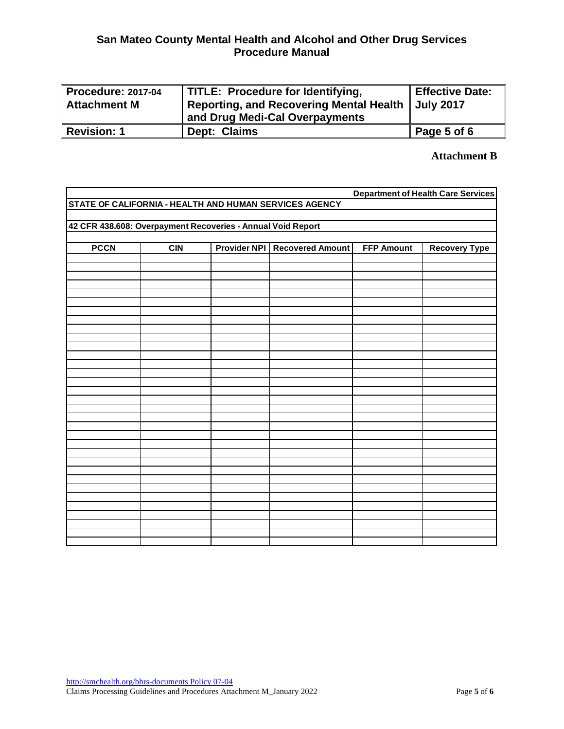| Procedure: 2017-04<br>∥ Attachment M | TITLE: Procedure for Identifying,<br><b>Reporting, and Recovering Mental Health</b> | <b>Effective Date:</b><br><b>July 2017</b> |
|--------------------------------------|-------------------------------------------------------------------------------------|--------------------------------------------|
|                                      | and Drug Medi-Cal Overpayments                                                      |                                            |
| Revision: 1                          | Dept: Claims                                                                        | Page 5 of 6                                |

#### **Attachment B**

|                                                             | <b>Department of Health Care Services</b> |                     |                                                        |                   |                      |  |  |  |  |  |
|-------------------------------------------------------------|-------------------------------------------|---------------------|--------------------------------------------------------|-------------------|----------------------|--|--|--|--|--|
|                                                             |                                           |                     | STATE OF CALIFORNIA - HEALTH AND HUMAN SERVICES AGENCY |                   |                      |  |  |  |  |  |
|                                                             |                                           |                     |                                                        |                   |                      |  |  |  |  |  |
| 42 CFR 438.608: Overpayment Recoveries - Annual Void Report |                                           |                     |                                                        |                   |                      |  |  |  |  |  |
|                                                             |                                           |                     |                                                        |                   |                      |  |  |  |  |  |
| <b>PCCN</b>                                                 | CIN                                       | <b>Provider NPI</b> | <b>Recovered Amount</b>                                | <b>FFP Amount</b> | <b>Recovery Type</b> |  |  |  |  |  |
|                                                             |                                           |                     |                                                        |                   |                      |  |  |  |  |  |
|                                                             |                                           |                     |                                                        |                   |                      |  |  |  |  |  |
|                                                             |                                           |                     |                                                        |                   |                      |  |  |  |  |  |
|                                                             |                                           |                     |                                                        |                   |                      |  |  |  |  |  |
|                                                             |                                           |                     |                                                        |                   |                      |  |  |  |  |  |
|                                                             |                                           |                     |                                                        |                   |                      |  |  |  |  |  |
|                                                             |                                           |                     |                                                        |                   |                      |  |  |  |  |  |
|                                                             |                                           |                     |                                                        |                   |                      |  |  |  |  |  |
|                                                             |                                           |                     |                                                        |                   |                      |  |  |  |  |  |
|                                                             |                                           |                     |                                                        |                   |                      |  |  |  |  |  |
|                                                             |                                           |                     |                                                        |                   |                      |  |  |  |  |  |
|                                                             |                                           |                     |                                                        |                   |                      |  |  |  |  |  |
|                                                             |                                           |                     |                                                        |                   |                      |  |  |  |  |  |
|                                                             |                                           |                     |                                                        |                   |                      |  |  |  |  |  |
|                                                             |                                           |                     |                                                        |                   |                      |  |  |  |  |  |
|                                                             |                                           |                     |                                                        |                   |                      |  |  |  |  |  |
|                                                             |                                           |                     |                                                        |                   |                      |  |  |  |  |  |
|                                                             |                                           |                     |                                                        |                   |                      |  |  |  |  |  |
|                                                             |                                           |                     |                                                        |                   |                      |  |  |  |  |  |
|                                                             |                                           |                     |                                                        |                   |                      |  |  |  |  |  |
|                                                             |                                           |                     |                                                        |                   |                      |  |  |  |  |  |
|                                                             |                                           |                     |                                                        |                   |                      |  |  |  |  |  |
|                                                             |                                           |                     |                                                        |                   |                      |  |  |  |  |  |
|                                                             |                                           |                     |                                                        |                   |                      |  |  |  |  |  |
|                                                             |                                           |                     |                                                        |                   |                      |  |  |  |  |  |
|                                                             |                                           |                     |                                                        |                   |                      |  |  |  |  |  |
|                                                             |                                           |                     |                                                        |                   |                      |  |  |  |  |  |
|                                                             |                                           |                     |                                                        |                   |                      |  |  |  |  |  |